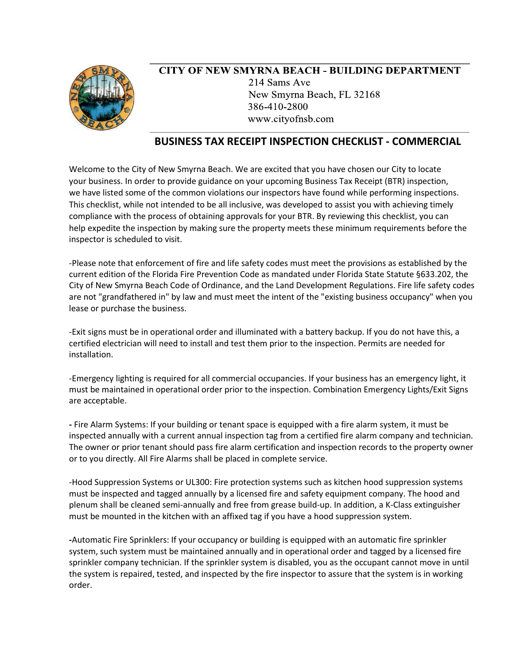

## **CITY OF NEW SMYRNA BEACH - BUILDING DEPARTMENT** 214 Sams Ave New Smyrna Beach, FL 32168 386-410-2800 www.cityofnsb.com

## **BUSINESS TAX RECEIPT INSPECTION CHECKLIST - COMMERCIAL**

Welcome to the City of New Smyrna Beach. We are excited that you have chosen our City to locate your business. In order to provide guidance on your upcoming Business Tax Receipt (BTR) inspection, we have listed some of the common violations our inspectors have found while performing inspections. This checklist, while not intended to be all inclusive, was developed to assist you with achieving timely compliance with the process of obtaining approvals for your BTR. By reviewing this checklist, you can help expedite the inspection by making sure the property meets these minimum requirements before the inspector is scheduled to visit.

-Please note that enforcement of fire and life safety codes must meet the provisions as established by the current edition of the Florida Fire Prevention Code as mandated under Florida State Statute §633.202, the City of New Smyrna Beach Code of Ordinance, and the Land Development Regulations. Fire life safety codes are not "grandfathered in" by law and must meet the intent of the "existing business occupancy" when you lease or purchase the business.

-Exit signs must be in operational order and illuminated with a battery backup. If you do not have this, a certified electrician will need to install and test them prior to the inspection. Permits are needed for installation.

-Emergency lighting is required for all commercial occupancies. If your business has an emergency light, it must be maintained in operational order prior to the inspection. Combination Emergency Lights/Exit Signs are acceptable.

**-** Fire Alarm Systems: If your building or tenant space is equipped with a fire alarm system, it must be inspected annually with a current annual inspection tag from a certified fire alarm company and technician. The owner or prior tenant should pass fire alarm certification and inspection records to the property owner or to you directly. All Fire Alarms shall be placed in complete service.

-Hood Suppression Systems or UL300: Fire protection systems such as kitchen hood suppression systems must be inspected and tagged annually by a licensed fire and safety equipment company. The hood and plenum shall be cleaned semi-annually and free from grease build-up. In addition, a K-Class extinguisher must be mounted in the kitchen with an affixed tag if you have a hood suppression system.

**-**Automatic Fire Sprinklers: If your occupancy or building is equipped with an automatic fire sprinkler system, such system must be maintained annually and in operational order and tagged by a licensed fire sprinkler company technician. If the sprinkler system is disabled, you as the occupant cannot move in until the system is repaired, tested, and inspected by the fire inspector to assure that the system is in working order.